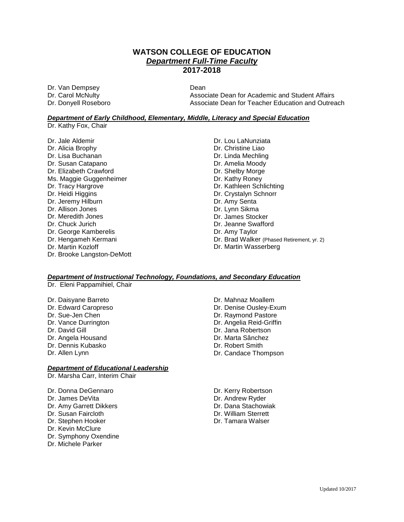## **WATSON COLLEGE OF EDUCATION** *Department Full-Time Faculty* **2017-2018**

Dr. Van Dempsey Dean

Associate Dean for Academic and Student Affairs Dr. Donyell Roseboro **Associate Dean for Teacher Education and Outreach** Dean for Teacher Education and Outreach

#### *Department of Early Childhood, Elementary, Middle, Literacy and Special Education*

Dr. Kathy Fox, Chair

Dr. Jale Aldemir Dr. Alicia Brophy Dr. Lisa Buchanan Dr. Susan Catapano Dr. Elizabeth Crawford Ms. Maggie Guggenheimer Dr. Tracy Hargrove Dr. Heidi Higgins Dr. Jeremy Hilburn Dr. Allison Jones Dr. Meredith Jones Dr. Chuck Jurich Dr. George Kamberelis Dr. Hengameh Kermani Dr. Martin Kozloff Dr. Brooke Langston-DeMott Dr. Lou LaNunziata Dr. Christine Liao Dr. Linda Mechling Dr. Amelia Moody Dr. Shelby Morge Dr. Kathy Roney Dr. Kathleen Schlichting Dr. Crystalyn Schnorr Dr. Amy Senta Dr. Lynn Sikma Dr. James Stocker Dr. Jeanne Swafford Dr. Amy Taylor Dr. Brad Walker (Phased Retirement, yr. 2)

Dr. Martin Wasserberg

#### *Department of Instructional Technology, Foundations, and Secondary Education*

Dr. Eleni Pappamihiel, Chair

- Dr. Daisyane Barreto
- Dr. Edward Caropreso
- Dr. Sue-Jen Chen
- Dr. Vance Durrington
- Dr. David Gill
- Dr. Angela Housand
- Dr. Dennis Kubasko
- Dr. Allen Lynn

### *Department of Educational Leadership*

Dr. Marsha Carr, Interim Chair

- Dr. Donna DeGennaro
- Dr. James DeVita
- Dr. Amy Garrett Dikkers
- Dr. Susan Faircloth
- Dr. Stephen Hooker
- Dr. Kevin McClure
- Dr. Symphony Oxendine
- Dr. Michele Parker
- Dr. Mahnaz Moallem
- Dr. Denise Ousley-Exum
- Dr. Raymond Pastore
- Dr. Angelia Reid-Griffin
- Dr. Jana Robertson
- Dr. Marta Sânchez
- Dr. Robert Smith
- Dr. Candace Thompson
- Dr. Kerry Robertson Dr. Andrew Ryder Dr. Dana Stachowiak Dr. William Sterrett
- Dr. Tamara Walser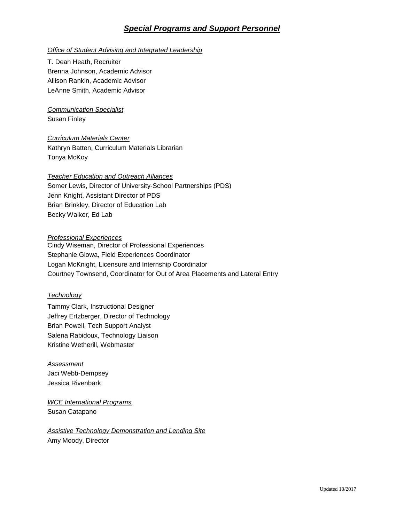# *Special Programs and Support Personnel*

#### *Office of Student Advising and Integrated Leadership*

T. Dean Heath, Recruiter Brenna Johnson, Academic Advisor Allison Rankin, Academic Advisor LeAnne Smith, Academic Advisor

*Communication Specialist* Susan Finley

*Curriculum Materials Center* Kathryn Batten, Curriculum Materials Librarian Tonya McKoy

#### *Teacher Education and Outreach Alliances*

Somer Lewis, Director of University-School Partnerships (PDS) Jenn Knight, Assistant Director of PDS Brian Brinkley, Director of Education Lab Becky Walker, Ed Lab

#### *Professional Experiences*

Cindy Wiseman, Director of Professional Experiences Stephanie Glowa, Field Experiences Coordinator Logan McKnight, Licensure and Internship Coordinator Courtney Townsend, Coordinator for Out of Area Placements and Lateral Entry

#### *Technology*

Tammy Clark, Instructional Designer Jeffrey Ertzberger, Director of Technology Brian Powell, Tech Support Analyst Salena Rabidoux, Technology Liaison Kristine Wetherill, Webmaster

*Assessment* Jaci Webb-Dempsey Jessica Rivenbark

*WCE International Programs* Susan Catapano

*Assistive Technology Demonstration and Lending Site* Amy Moody, Director